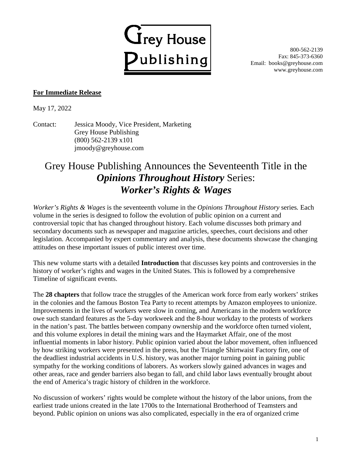

800-562-2139 Fax: 845-373-6360 Email: books@greyhouse.com www.greyhouse.com

## **For Immediate Release**

May 17, 2022

Contact: Jessica Moody, Vice President, Marketing Grey House Publishing (800) 562-2139 x101 jmoody@greyhouse.com

## Grey House Publishing Announces the Seventeenth Title in the *Opinions Throughout History* Series: *Worker's Rights & Wages*

*Worker's Rights & Wages* is the seventeenth volume in the *Opinions Throughout History* series*.* Each volume in the series is designed to follow the evolution of public opinion on a current and controversial topic that has changed throughout history. Each volume discusses both primary and secondary documents such as newspaper and magazine articles, speeches, court decisions and other legislation. Accompanied by expert commentary and analysis, these documents showcase the changing attitudes on these important issues of public interest over time.

This new volume starts with a detailed **Introduction** that discusses key points and controversies in the history of worker's rights and wages in the United States. This is followed by a comprehensive Timeline of significant events.

The **28 chapters** that follow trace the struggles of the American work force from early workers' strikes in the colonies and the famous Boston Tea Party to recent attempts by Amazon employees to unionize. Improvements in the lives of workers were slow in coming, and Americans in the modern workforce owe such standard features as the 5-day workweek and the 8-hour workday to the protests of workers in the nation's past. The battles between company ownership and the workforce often turned violent, and this volume explores in detail the mining wars and the Haymarket Affair, one of the most influential moments in labor history. Public opinion varied about the labor movement, often influenced by how striking workers were presented in the press, but the Triangle Shirtwaist Factory fire, one of the deadliest industrial accidents in U.S. history, was another major turning point in gaining public sympathy for the working conditions of laborers. As workers slowly gained advances in wages and other areas, race and gender barriers also began to fall, and child labor laws eventually brought about the end of America's tragic history of children in the workforce.

No discussion of workers' rights would be complete without the history of the labor unions, from the earliest trade unions created in the late 1700s to the International Brotherhood of Teamsters and beyond. Public opinion on unions was also complicated, especially in the era of organized crime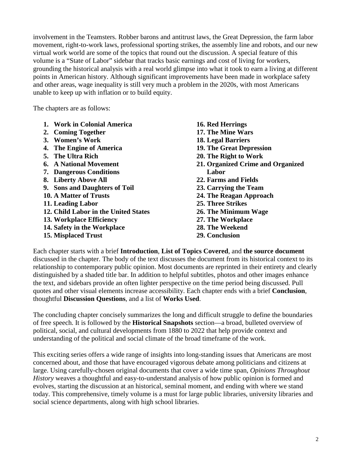involvement in the Teamsters. Robber barons and antitrust laws, the Great Depression, the farm labor movement, right-to-work laws, professional sporting strikes, the assembly line and robots, and our new virtual work world are some of the topics that round out the discussion. A special feature of this volume is a "State of Labor" sidebar that tracks basic earnings and cost of living for workers, grounding the historical analysis with a real world glimpse into what it took to earn a living at different points in American history. Although significant improvements have been made in workplace safety and other areas, wage inequality is still very much a problem in the 2020s, with most Americans unable to keep up with inflation or to build equity.

The chapters are as follows:

- **1. Work in Colonial America**
- **2. Coming Together**
- **3. Women's Work**
- **4. The Engine of America**
- **5. The Ultra Rich**
- **6. A National Movement**
- **7. Dangerous Conditions**
- **8. Liberty Above All**
- **9. Sons and Daughters of Toil**
- **10. A Matter of Trusts**
- **11. Leading Labor**
- **12. Child Labor in the United States**
- **13. Workplace Efficiency**
- **14. Safety in the Workplace**
- **15. Misplaced Trust**
- **16. Red Herrings**
- **17. The Mine Wars**
- **18. Legal Barriers**
- **19. The Great Depression**
- **20. The Right to Work**
- **21. Organized Crime and Organized Labor**
- **22. Farms and Fields**
- **23. Carrying the Team**
- **24. The Reagan Approach**
- **25. Three Strikes**
- **26. The Minimum Wage**
- **27. The Workplace**
- **28. The Weekend**
- **29. Conclusion**

Each chapter starts with a brief **Introduction**, **List of Topics Covered**, and **the source document** discussed in the chapter. The body of the text discusses the document from its historical context to its relationship to contemporary public opinion. Most documents are reprinted in their entirety and clearly distinguished by a shaded title bar. In addition to helpful subtitles, photos and other images enhance the text, and sidebars provide an often lighter perspective on the time period being discussed. Pull quotes and other visual elements increase accessibility. Each chapter ends with a brief **Conclusion**, thoughtful **Discussion Questions**, and a list of **Works Used**.

The concluding chapter concisely summarizes the long and difficult struggle to define the boundaries of free speech. It is followed by the **Historical Snapshots** section—a broad, bulleted overview of political, social, and cultural developments from 1880 to 2022 that help provide context and understanding of the political and social climate of the broad timeframe of the work.

This exciting series offers a wide range of insights into long-standing issues that Americans are most concerned about, and those that have encouraged vigorous debate among politicians and citizens at large. Using carefully-chosen original documents that cover a wide time span, *Opinions Throughout History* weaves a thoughtful and easy-to-understand analysis of how public opinion is formed and evolves, starting the discussion at an historical, seminal moment, and ending with where we stand today. This comprehensive, timely volume is a must for large public libraries, university libraries and social science departments, along with high school libraries.